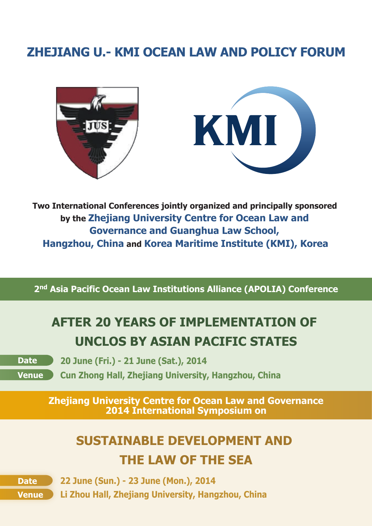# **ZHEJIANG U.- KMI OCEAN LAW AND POLICY FORUM**





**Two International Conferences jointly organized and principally sponsored by the Zhejiang University Centre for Ocean Law and Governance and Guanghua Law School, Hangzhou, China and Korea Maritime Institute (KMI), Korea**

**2nd Asia Pacific Ocean Law Institutions Alliance (APOLIA) Conference**

# **AFTER 20 YEARS OF IMPLEMENTATION OF UNCLOS BY ASIAN PACIFIC STATES**

**Venue** 

**Date 20 June (Fri.) - 21 June (Sat.), 2014**

**Cun Zhong Hall, Zhejiang University, Hangzhou, China**

**Zhejiang University Centre for Ocean Law and Governance 2014 International Symposium on**

# **SUSTAINABLE DEVELOPMENT AND THE LAW OF THE SEA**

**Date 22 June (Sun.) - 23 June (Mon.), 2014 Venue Li Zhou Hall, Zhejiang University, Hangzhou, China**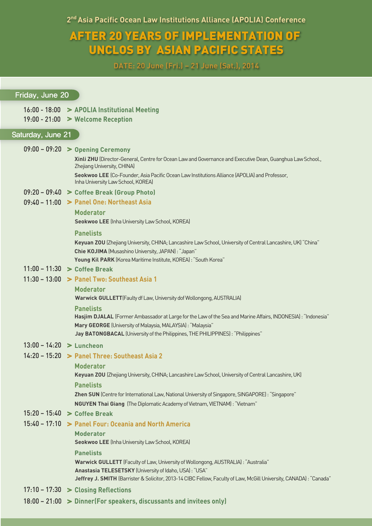2<sup>nd</sup> Asia Pacific Ocean Law Institutions Alliance (APOLIA) Conference

# AFTER 20 YEARS OF IMPLEMENTATION OF UNCLOS BY ASIAN PACIFIC STATES

DATE: 20 June (Fri.) – 21 June (Sat.), 2014

#### Friday, June 20

- 16:00 18:00 **>** APOLIA Institutional Meeting
- 19:00 21:00 **>** Welcome Reception

## Saturday, June 21

09:00 – 09:20 **>** Opening Ceremony

Xinli ZHU (Director-General, Centre for Ocean Law and Governance and Executive Dean, Guanghua Law School., Zhejiang University, CHINA)

Seokwoo LEE (Co-Founder, Asia Pacific Ocean Law Institutions Alliance (APOLIA) and Professor, Inha University Law School, KOREA)

- 09:20 09:40 **>** Coffee Break (Group Photo)
- 09:40 11:00 **>** Panel One: Northeast Asia

#### Moderator

Seokwoo LEE (Inha University Law School, KOREA)

#### **Panelists**

Keyuan ZOU (Zhejiang University, CHINA; Lancashire Law School, University of Central Lancashire, UK) "China" Chie KOJIMA (Musashino University, JAPAN) : "Japan"

Young Kil PARK (Korea Maritime Institute, KOREA) : "South Korea"

## 11:00 – 11:30 **>** Coffee Break

11:30 – 13:00 **>** Panel Two: Southeast Asia 1

#### Moderator

Warwick GULLETT(Faulty df Law, University dof Wollongong, AUSTRALIA)

#### **Panelists**

Hasjim DJALAL (Former Ambassador at Large for the Law of the Sea and Marine Affairs, INDONESIA) : "Indonesia" Mary GEORGE (University of Malaysia, MALAYSIA) : "Malaysia"

Jay BATONGBACAL (University of the Philippines, THE PHILIPPINES) : "Philippines"

# 13:00 – 14:20 **>** Luncheon

# 14:20 – 15:20 **>** Panel Three: Southeast Asia 2

Moderator

Keyuan ZOU (Zhejiang University, CHINA; Lancashire Law School, University of Central Lancashire, UK) **Panelists** 

Zhen SUN (Centre for International Law, National University of Singapore, SINGAPORE): "Singapore"

NGUYEN Thai Giang (The Diplomatic Academy of Vietnam, VIETNAM) : "Vietnam"

## 15:20 – 15:40 **>** Coffee Break

# 15:40 – 17:10 **>** Panel Four: Oceania and North America

**Moderator** 

Seokwoo LEE (Inha University Law School, KOREA)

#### **Panelists**

Warwick GULLETT (Faculty of Law,University of Wollongong, AUSTRALIA) : "Australia"

Anastasia TELESETSKY (University of Idaho, USA): "USA"

Jeffrey J. SMITH (Barrister & Solicitor, 2013-14 CIBC Fellow, Faculty of Law, McGill University, CANADA) : "Canada"

- 17:10 17:30 **>** Closing Reflections
- 18:00 21:00 **>** Dinner(For speakers, discussants and invitees only)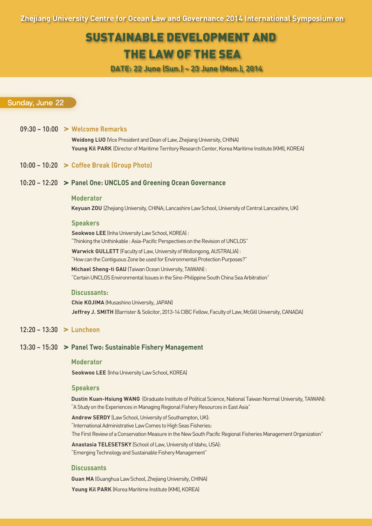Zhejiang University Centre for Ocean Law and Governance 2014 International Symposium on

# SUSTAINABLE DEVELOPMENT AND

# THE LAW OF THE SEA

DATE: 22 June (Sun.) – 23 June (Mon.), 2014

# Sunday, June 22

#### 09:30 – 10:00 Welcome Remarks

Weidong LUO (Vice President and Dean of Law, Zhejiang University, CHINA) Young Kil PARK (Director of Maritime Territory Research Center, Korea Maritime Institute (KMI), KOREA)

#### 10:00 – 10:20 **>** Coffee Break (Group Photo)

# 10:20 – 12:20 **>** Panel One: UNCLOS and Greening Ocean Governance

#### Moderator

Keyuan ZOU (Zhejiang University, CHINA; Lancashire Law School, University of Central Lancashire, UK)

#### **Speakers**

Seokwoo LEE (Inha University Law School, KOREA) : "Thinking the Unthinkable : Asia-Pacific Perspectives on the Revision of UNCLOS"

Warwick GULLETT (Faculty of Law, University of Wollongong, AUSTRALIA) : "How can the Contiguous Zone be used for Environmental Protection Purposes?"

Michael Sheng-ti GAU (Taiwan Ocean University, TAIWAN) : "Certain UNCLOS Environmental Issues in the Sino-Philippine South China Sea Arbitration"

#### Discussants:

Chie KOJIMA (Musashino University, JAPAN) Jeffrey J. SMITH (Barrister & Solicitor, 2013-14 CIBC Fellow, Faculty of Law, McGill University, CANADA)

## 12:20 – 13:30 **>** Luncheon

#### 13:30 – 15:30 Panel Two: Sustainable Fishery Management

#### Moderator

Seokwoo LEE (Inha University Law School, KOREA)

#### **Speakers**

Dustin Kuan-Hsiung WANG (Graduate Institute of Political Science, National Taiwan Normal University, TAIWAN): "A Study on the Experiences in Managing Regional Fishery Resources in East Asia"

Andrew SERDY (Law School, University of Southampton, UK): "International Administrative Law Comes to High Seas Fisheries: The First Review of a Conservation Measure in the New South Pacific Regional Fisheries Management Organization"

Anastasia TELESETSKY (School of Law, University of Idaho, USA): "Emerging Technology and Sustainable Fishery Management"

#### **Discussants**

Guan MA (Guanghua Law School, Zhejiang University, CHINA) Young Kil PARK (Korea Maritime Institute (KMI), KOREA)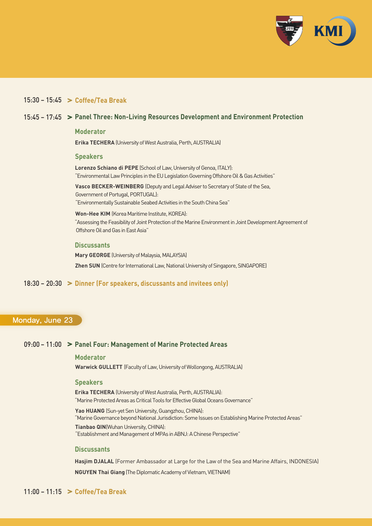

# $15:30 - 15:45$  > Coffee/Tea Break

## 15:45 – 17:45 Panel Three: Non-Living Resources Development and Environment Protection

Moderator

Erika TECHERA (University of West Australia, Perth, AUSTRALIA)

#### Speakers

Lorenzo Schiano di PEPE (School of Law, University of Genoa, ITALY): "Environmental Law Principles in the EU Legislation Governing Offshore Oil & Gas Activities"

Vasco BECKER-WEINBERG (Deputy and Legal Adviser to Secretary of State of the Sea, Government of Portugal, PORTUGAL):

"Environmentally Sustainable Seabed Activities in the South China Sea"

Won-Hee KIM (Korea Maritime Institute, KOREA): "Assessing the Feasibility of Joint Protection of the Marine Environment in Joint Development Agreement of Offshore Oil and Gas in East Asia"

#### **Discussants**

Mary GEORGE (University of Malaysia, MALAYSIA) Zhen SUN (Centre for International Law, National University of Singapore, SINGAPORE)

# $18:30 - 20:30$  > Dinner (For speakers, discussants and invitees only)

# Monday, June 23

# 09:00 – 11:00 **>** Panel Four: Management of Marine Protected Areas

#### Moderator

Warwick GULLETT (Facultyof Law, University of Wollongong, AUSTRALIA)

### Speakers

Erika TECHERA (University of West Australia, Perth, AUSTRALIA): "Marine Protected Areas as Critical Tools for Effective Global Oceans Governance"

Yao HUANG (Sun-yet Sen University, Guangzhou, CHINA): "Marine Governance beyond National Jurisdiction: Some Issues on Establishing Marine Protected Areas"

Tianbao QIN(Wuhan University, CHINA): "Establishment and Management of MPAs in ABNJ: A Chinese Perspective"

#### **Discussants**

Hasjim DJALAL (Former Ambassador at Large for the Law of the Sea and Marine Affairs, INDONESIA) NGUYEN Thai Giang (The Diplomatic Academy of Vietnam, VIETNAM)